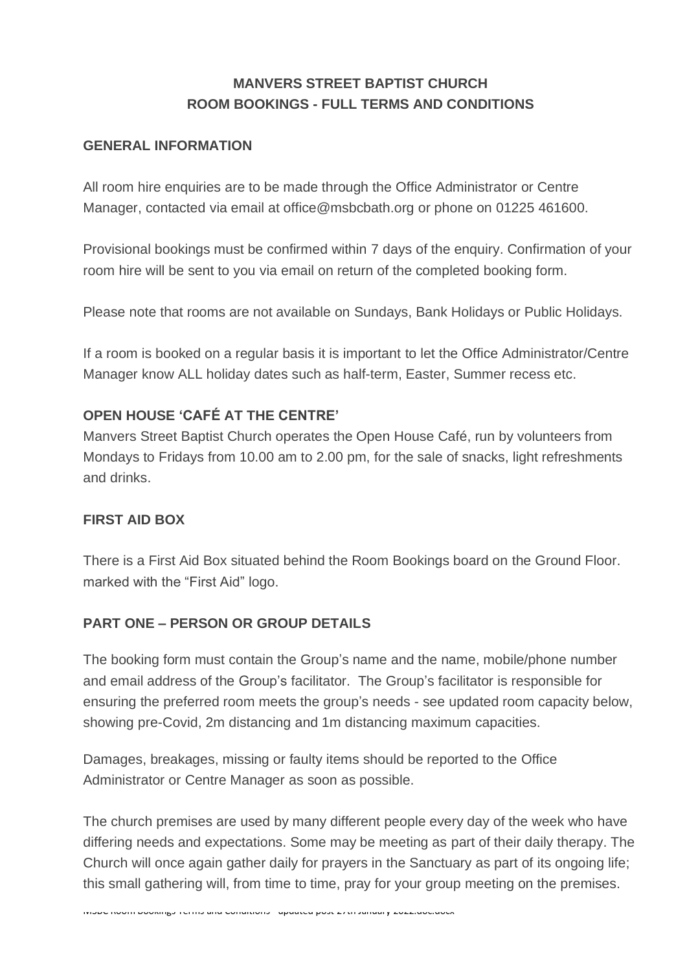# **MANVERS STREET BAPTIST CHURCH ROOM BOOKINGS - FULL TERMS AND CONDITIONS**

#### **GENERAL INFORMATION**

All room hire enquiries are to be made through the Office Administrator or Centre Manager, contacted via email at office@msbcbath.org or phone on 01225 461600.

Provisional bookings must be confirmed within 7 days of the enquiry. Confirmation of your room hire will be sent to you via email on return of the completed booking form.

Please note that rooms are not available on Sundays, Bank Holidays or Public Holidays.

If a room is booked on a regular basis it is important to let the Office Administrator/Centre Manager know ALL holiday dates such as half-term, Easter, Summer recess etc.

### **OPEN HOUSE 'CAFÉ AT THE CENTRE'**

Manvers Street Baptist Church operates the Open House Café, run by volunteers from Mondays to Fridays from 10.00 am to 2.00 pm, for the sale of snacks, light refreshments and drinks.

### **FIRST AID BOX**

There is a First Aid Box situated behind the Room Bookings board on the Ground Floor. marked with the "First Aid" logo.

### **PART ONE – PERSON OR GROUP DETAILS**

The booking form must contain the Group's name and the name, mobile/phone number and email address of the Group's facilitator. The Group's facilitator is responsible for ensuring the preferred room meets the group's needs - see updated room capacity below, showing pre-Covid, 2m distancing and 1m distancing maximum capacities.

Damages, breakages, missing or faulty items should be reported to the Office Administrator or Centre Manager as soon as possible.

MSBC Room Bookings Terms and Conditions - updated post 27th January 2022.doc.docx

The church premises are used by many different people every day of the week who have differing needs and expectations. Some may be meeting as part of their daily therapy. The Church will once again gather daily for prayers in the Sanctuary as part of its ongoing life; this small gathering will, from time to time, pray for your group meeting on the premises.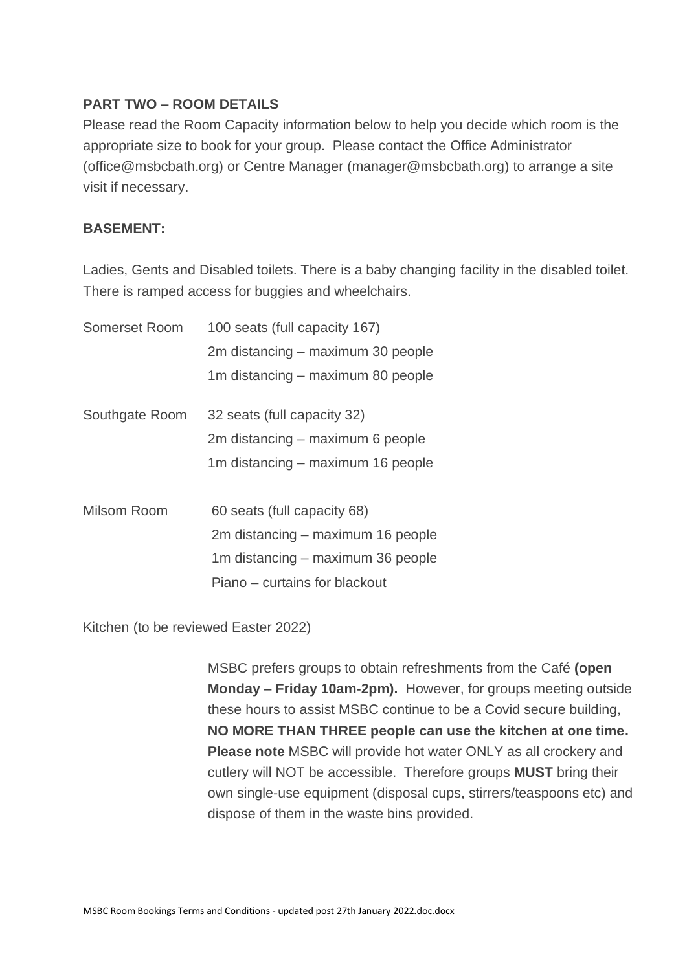### **PART TWO – ROOM DETAILS**

Please read the Room Capacity information below to help you decide which room is the appropriate size to book for your group. Please contact the Office Administrator (office@msbcbath.org) or Centre Manager (manager@msbcbath.org) to arrange a site visit if necessary.

### **BASEMENT:**

Ladies, Gents and Disabled toilets. There is a baby changing facility in the disabled toilet. There is ramped access for buggies and wheelchairs.

| Somerset Room  | 100 seats (full capacity 167)     |
|----------------|-----------------------------------|
|                | 2m distancing – maximum 30 people |
|                | 1m distancing – maximum 80 people |
| Southgate Room | 32 seats (full capacity 32)       |
|                | 2m distancing – maximum 6 people  |
|                | 1m distancing – maximum 16 people |
| Milsom Room    | 60 seats (full capacity 68)       |
|                | 2m distancing – maximum 16 people |
|                | 1m distancing – maximum 36 people |
|                | Piano – curtains for blackout     |

Kitchen (to be reviewed Easter 2022)

MSBC prefers groups to obtain refreshments from the Café **(open Monday – Friday 10am-2pm).** However, for groups meeting outside these hours to assist MSBC continue to be a Covid secure building, **NO MORE THAN THREE people can use the kitchen at one time. Please note** MSBC will provide hot water ONLY as all crockery and cutlery will NOT be accessible. Therefore groups **MUST** bring their own single-use equipment (disposal cups, stirrers/teaspoons etc) and dispose of them in the waste bins provided.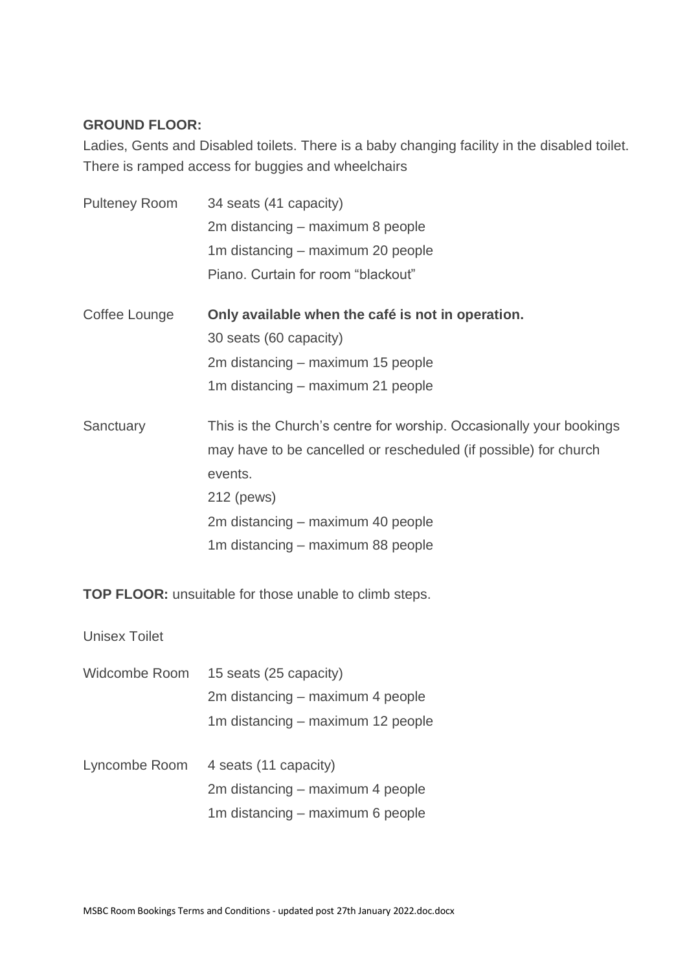#### **GROUND FLOOR:**

Ladies, Gents and Disabled toilets. There is a baby changing facility in the disabled toilet. There is ramped access for buggies and wheelchairs

| <b>Pulteney Room</b> | 34 seats (41 capacity)                                              |
|----------------------|---------------------------------------------------------------------|
|                      | 2m distancing – maximum 8 people                                    |
|                      | 1m distancing – maximum 20 people                                   |
|                      | Piano. Curtain for room "blackout"                                  |
| Coffee Lounge        | Only available when the café is not in operation.                   |
|                      | 30 seats (60 capacity)                                              |
|                      | 2m distancing – maximum 15 people                                   |
|                      | 1m distancing - maximum 21 people                                   |
| Sanctuary            | This is the Church's centre for worship. Occasionally your bookings |
|                      | may have to be cancelled or rescheduled (if possible) for church    |
|                      | events.                                                             |
|                      | 212 (pews)                                                          |
|                      | 2m distancing – maximum 40 people                                   |
|                      | 1m distancing – maximum 88 people                                   |

**TOP FLOOR:** unsuitable for those unable to climb steps.

Unisex Toilet

| Widcombe Room | 15 seats (25 capacity)            |
|---------------|-----------------------------------|
|               | 2m distancing – maximum 4 people  |
|               | 1m distancing – maximum 12 people |

Lyncombe Room 4 seats (11 capacity) 2m distancing – maximum 4 people 1m distancing – maximum 6 people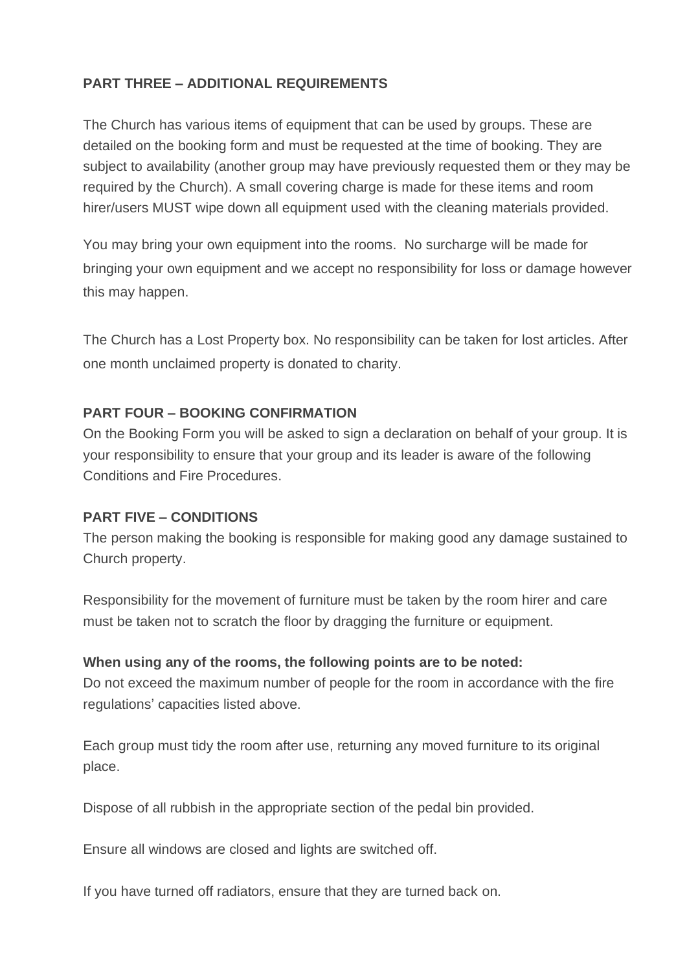## **PART THREE – ADDITIONAL REQUIREMENTS**

The Church has various items of equipment that can be used by groups. These are detailed on the booking form and must be requested at the time of booking. They are subject to availability (another group may have previously requested them or they may be required by the Church). A small covering charge is made for these items and room hirer/users MUST wipe down all equipment used with the cleaning materials provided.

You may bring your own equipment into the rooms. No surcharge will be made for bringing your own equipment and we accept no responsibility for loss or damage however this may happen.

The Church has a Lost Property box. No responsibility can be taken for lost articles. After one month unclaimed property is donated to charity.

### **PART FOUR – BOOKING CONFIRMATION**

On the Booking Form you will be asked to sign a declaration on behalf of your group. It is your responsibility to ensure that your group and its leader is aware of the following Conditions and Fire Procedures.

### **PART FIVE – CONDITIONS**

The person making the booking is responsible for making good any damage sustained to Church property.

Responsibility for the movement of furniture must be taken by the room hirer and care must be taken not to scratch the floor by dragging the furniture or equipment.

### **When using any of the rooms, the following points are to be noted:**

Do not exceed the maximum number of people for the room in accordance with the fire regulations' capacities listed above.

Each group must tidy the room after use, returning any moved furniture to its original place.

Dispose of all rubbish in the appropriate section of the pedal bin provided.

Ensure all windows are closed and lights are switched off.

If you have turned off radiators, ensure that they are turned back on.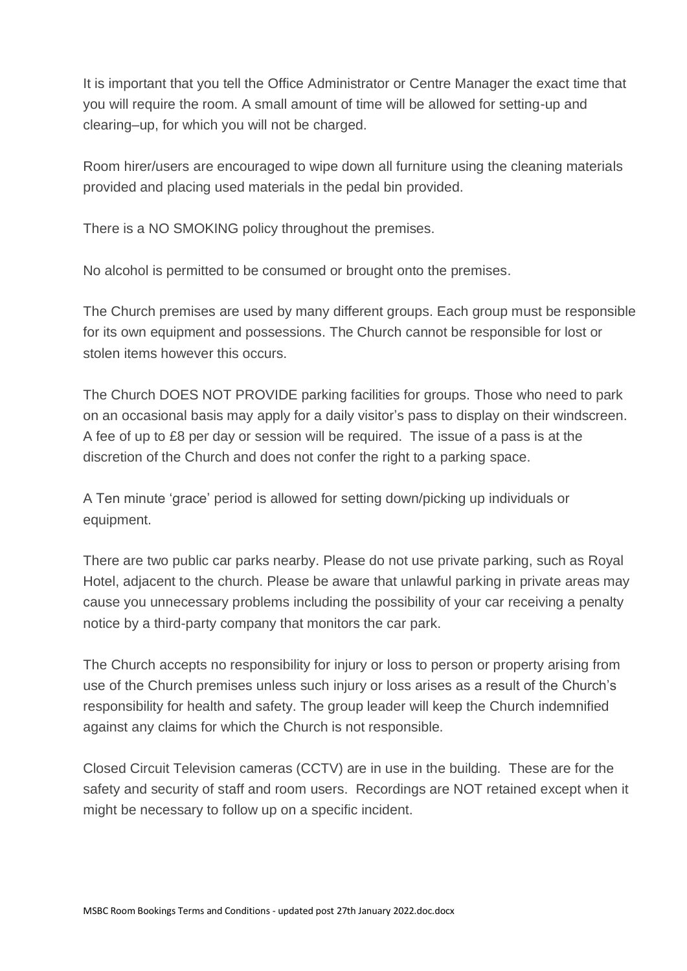It is important that you tell the Office Administrator or Centre Manager the exact time that you will require the room. A small amount of time will be allowed for setting-up and clearing–up, for which you will not be charged.

Room hirer/users are encouraged to wipe down all furniture using the cleaning materials provided and placing used materials in the pedal bin provided.

There is a NO SMOKING policy throughout the premises.

No alcohol is permitted to be consumed or brought onto the premises.

The Church premises are used by many different groups. Each group must be responsible for its own equipment and possessions. The Church cannot be responsible for lost or stolen items however this occurs.

The Church DOES NOT PROVIDE parking facilities for groups. Those who need to park on an occasional basis may apply for a daily visitor's pass to display on their windscreen. A fee of up to £8 per day or session will be required. The issue of a pass is at the discretion of the Church and does not confer the right to a parking space.

A Ten minute 'grace' period is allowed for setting down/picking up individuals or equipment.

There are two public car parks nearby. Please do not use private parking, such as Royal Hotel, adjacent to the church. Please be aware that unlawful parking in private areas may cause you unnecessary problems including the possibility of your car receiving a penalty notice by a third-party company that monitors the car park.

The Church accepts no responsibility for injury or loss to person or property arising from use of the Church premises unless such injury or loss arises as a result of the Church's responsibility for health and safety. The group leader will keep the Church indemnified against any claims for which the Church is not responsible.

Closed Circuit Television cameras (CCTV) are in use in the building. These are for the safety and security of staff and room users. Recordings are NOT retained except when it might be necessary to follow up on a specific incident.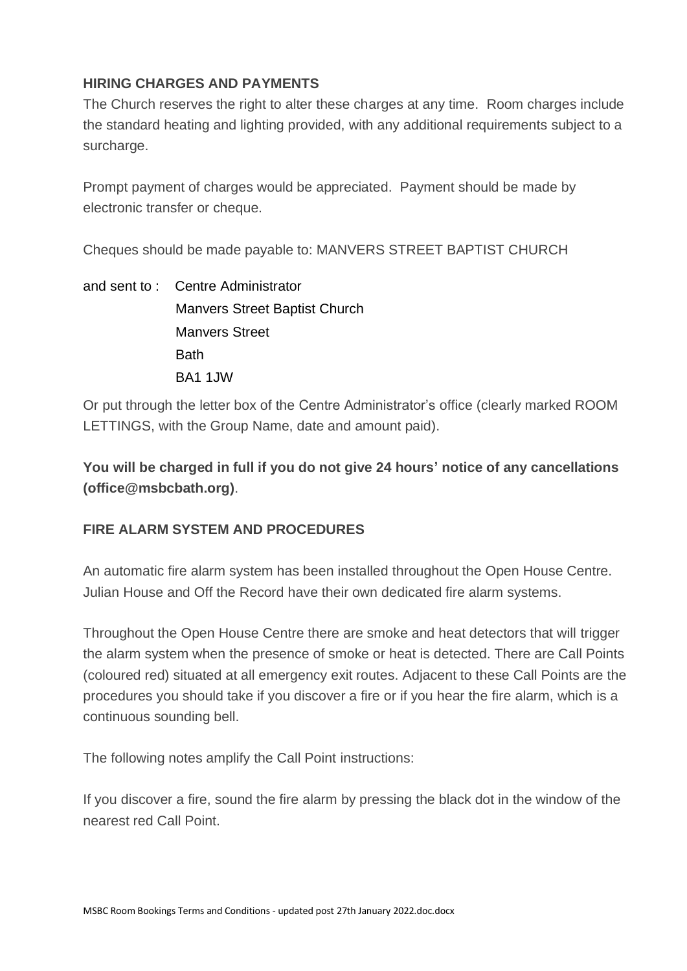### **HIRING CHARGES AND PAYMENTS**

The Church reserves the right to alter these charges at any time. Room charges include the standard heating and lighting provided, with any additional requirements subject to a surcharge.

Prompt payment of charges would be appreciated. Payment should be made by electronic transfer or cheque.

Cheques should be made payable to: MANVERS STREET BAPTIST CHURCH

and sent to : Centre Administrator Manvers Street Baptist Church Manvers Street **Bath** BA1 1JW

Or put through the letter box of the Centre Administrator's office (clearly marked ROOM LETTINGS, with the Group Name, date and amount paid).

**You will be charged in full if you do not give 24 hours' notice of any cancellations (office@msbcbath.org)**.

### **FIRE ALARM SYSTEM AND PROCEDURES**

An automatic fire alarm system has been installed throughout the Open House Centre. Julian House and Off the Record have their own dedicated fire alarm systems.

Throughout the Open House Centre there are smoke and heat detectors that will trigger the alarm system when the presence of smoke or heat is detected. There are Call Points (coloured red) situated at all emergency exit routes. Adjacent to these Call Points are the procedures you should take if you discover a fire or if you hear the fire alarm, which is a continuous sounding bell.

The following notes amplify the Call Point instructions:

If you discover a fire, sound the fire alarm by pressing the black dot in the window of the nearest red Call Point.